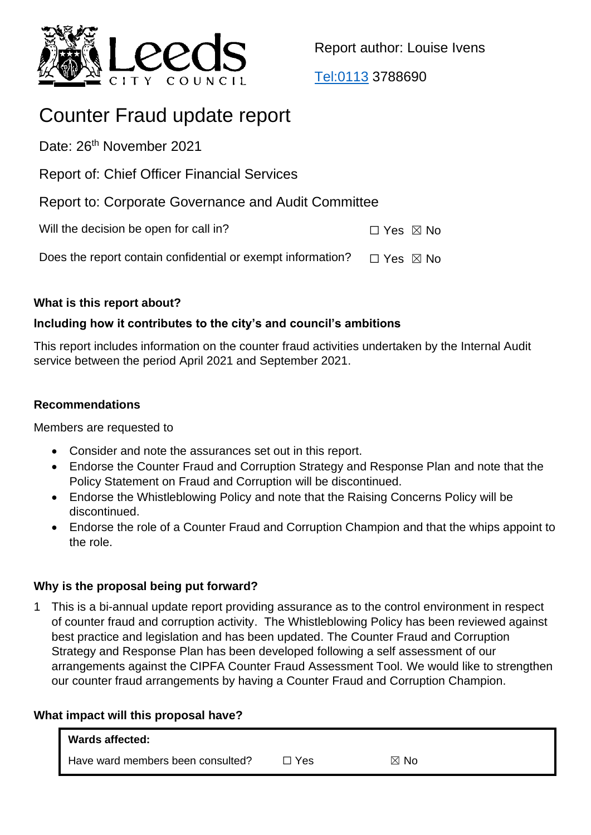

Report author: Louise Ivens

[Tel:0113](tel:0113) 3788690

# Counter Fraud update report

Date: 26<sup>th</sup> November 2021

Report of: Chief Officer Financial Services

Report to: Corporate Governance and Audit Committee

Will the decision be open for call in?  $\Box$  Yes  $\boxtimes$  No

Does the report contain confidential or exempt information?  $\Box$  Yes  $\boxtimes$  No

## **What is this report about?**

# **Including how it contributes to the city's and council's ambitions**

This report includes information on the counter fraud activities undertaken by the Internal Audit service between the period April 2021 and September 2021.

## **Recommendations**

Members are requested to

- Consider and note the assurances set out in this report.
- Endorse the Counter Fraud and Corruption Strategy and Response Plan and note that the Policy Statement on Fraud and Corruption will be discontinued.
- Endorse the Whistleblowing Policy and note that the Raising Concerns Policy will be discontinued.
- Endorse the role of a Counter Fraud and Corruption Champion and that the whips appoint to the role.

## **Why is the proposal being put forward?**

1 This is a bi-annual update report providing assurance as to the control environment in respect of counter fraud and corruption activity. The Whistleblowing Policy has been reviewed against best practice and legislation and has been updated. The Counter Fraud and Corruption Strategy and Response Plan has been developed following a self assessment of our arrangements against the CIPFA Counter Fraud Assessment Tool. We would like to strengthen our counter fraud arrangements by having a Counter Fraud and Corruption Champion.

## **What impact will this proposal have?**

| <b>Wards affected:</b>            |     |             |  |
|-----------------------------------|-----|-------------|--|
| Have ward members been consulted? | Yes | - No<br>IХI |  |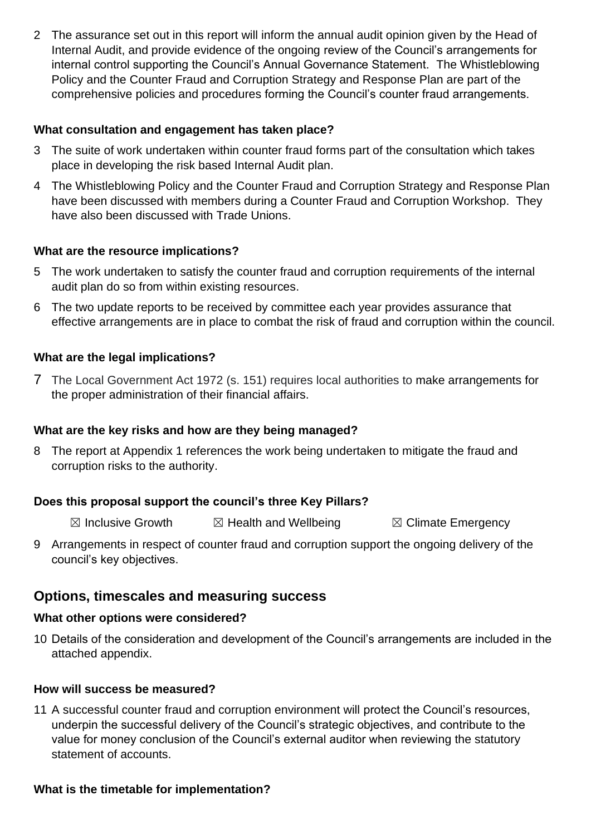2 The assurance set out in this report will inform the annual audit opinion given by the Head of Internal Audit, and provide evidence of the ongoing review of the Council's arrangements for internal control supporting the Council's Annual Governance Statement. The Whistleblowing Policy and the Counter Fraud and Corruption Strategy and Response Plan are part of the comprehensive policies and procedures forming the Council's counter fraud arrangements.

#### **What consultation and engagement has taken place?**

- 3 The suite of work undertaken within counter fraud forms part of the consultation which takes place in developing the risk based Internal Audit plan.
- 4 The Whistleblowing Policy and the Counter Fraud and Corruption Strategy and Response Plan have been discussed with members during a Counter Fraud and Corruption Workshop. They have also been discussed with Trade Unions.

#### **What are the resource implications?**

- 5 The work undertaken to satisfy the counter fraud and corruption requirements of the internal audit plan do so from within existing resources.
- 6 The two update reports to be received by committee each year provides assurance that effective arrangements are in place to combat the risk of fraud and corruption within the council.

#### **What are the legal implications?**

7 The Local Government Act 1972 (s. 151) requires local authorities to make arrangements for the proper administration of their financial affairs.

## **What are the key risks and how are they being managed?**

8 The report at Appendix 1 references the work being undertaken to mitigate the fraud and corruption risks to the authority.

## **Does this proposal support the council's three Key Pillars?**

 $\boxtimes$  Inclusive Growth  $\boxtimes$  Health and Wellbeing  $\boxtimes$  Climate Emergency

9 Arrangements in respect of counter fraud and corruption support the ongoing delivery of the council's key objectives.

# **Options, timescales and measuring success**

#### **What other options were considered?**

10 Details of the consideration and development of the Council's arrangements are included in the attached appendix.

#### **How will success be measured?**

11 A successful counter fraud and corruption environment will protect the Council's resources, underpin the successful delivery of the Council's strategic objectives, and contribute to the value for money conclusion of the Council's external auditor when reviewing the statutory statement of accounts.

#### **What is the timetable for implementation?**